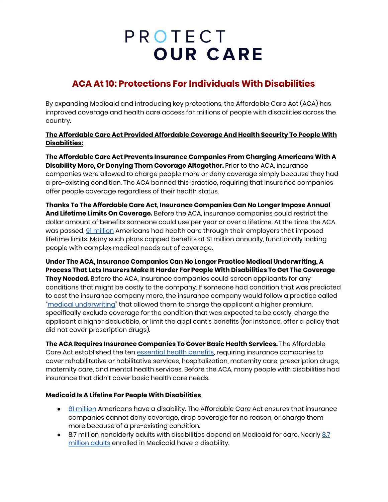## PROTECT **OUR CARE**

### **ACA At 10: Protections For Individuals With Disabilities**

By expanding Medicaid and introducing key protections, the Affordable Care Act (ACA) has improved coverage and health care access for millions of people with disabilities across the country.

**The Affordable Care Act Provided Affordable Coverage And Health Security To People With Disabilities:**

**The Affordable Care Act Prevents Insurance Companies From Charging Americans With A Disability More, Or Denying Them Coverage Altogether.** Prior to the ACA, insurance companies were allowed to charge people more or deny coverage simply because they had a pre-existing condition. The ACA banned this practice, requiring that insurance companies offer people coverage regardless of their health status.

**Thanks To The Affordable Care Act, Insurance Companies Can No Longer Impose Annual And Lifetime Limits On Coverage.** Before the ACA, insurance companies could restrict the dollar amount of benefits someone could use per year or over a lifetime. At the time the ACA was passed, 91 [million](https://www.vox.com/policy-and-politics/2017/2/15/14563182/obamacare-lifetime-limits-ban) Americans had health care through their employers that imposed lifetime limits. Many such plans capped benefits at \$1 million annually, functionally locking people with complex medical needs out of coverage.

**Under The ACA, Insurance Companies Can No Longer Practice Medical Underwriting, A Process That Lets Insurers Make It Harder For People With Disabilities To Get The Coverage They Needed.** Before the ACA, insurance companies could screen applicants for any conditions that might be costly to the company. If someone had condition that was predicted to cost the insurance company more, the insurance company would follow a practice called "medical [underwriting"](https://www.kff.org/health-reform/issue-brief/pre-existing-conditions-and-medical-underwriting-in-the-individual-insurance-market-prior-to-the-aca/) that allowed them to charge the applicant a higher premium, specifically exclude coverage for the condition that was expected to be costly, charge the applicant a higher deductible, or limit the applicant's benefits (for instance, offer a policy that did not cover prescription drugs).

**The ACA Requires Insurance Companies To Cover Basic Health Services.** The Affordable Care Act established the ten [essential](https://www.healthcare.gov/coverage/what-marketplace-plans-cover/) health benefits, requiring insurance companies to cover rehabilitative or habilitative services, hospitalization, maternity care, prescription drugs, maternity care, and mental health services. Before the ACA, many people with disabilities had insurance that didn't cover basic health care needs.

#### **Medicaid Is A Lifeline For People With Disabilities**

- 61 [million](https://www.cdc.gov/media/releases/2018/p0816-disability.html) Americans have a disability. The Affordable Care Act ensures that insurance companies cannot deny coverage, drop coverage for no reason, or charge them more because of a pre-existing condition.
- [8.7](https://www.kff.org/medicaid/issue-brief/how-might-medicaid-adults-with-disabilities-be-affected-by-work-requirements-in-section-1115-waiver-programs/) million nonelderly adults with disabilities depend on Medicaid for care. Nearly 8.7 [million](https://www.kff.org/medicaid/issue-brief/how-might-medicaid-adults-with-disabilities-be-affected-by-work-requirements-in-section-1115-waiver-programs/) adults enrolled in Medicaid have a disability.